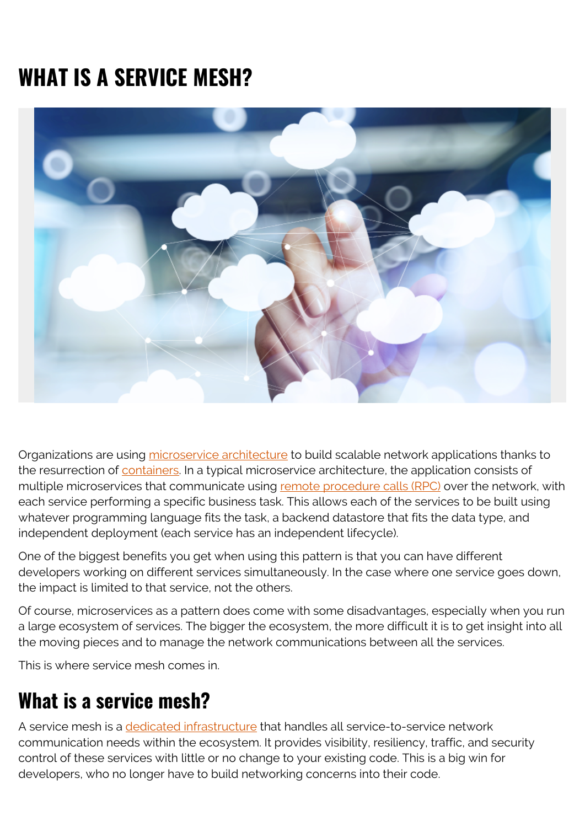# **WHAT IS A SERVICE MESH?**



Organizations are using [microservice architecture](https://blogs.bmc.com/blogs/microservices-architecture/) to build scalable network applications thanks to the resurrection of [containers](https://blogs.bmc.com/blogs/getting-started-containers-microservices/). In a typical microservice architecture, the application consists of multiple microservices that communicate using [remote procedure calls \(RPC\)](https://en.wikipedia.org/wiki/Remote_procedure_call) over the network, with each service performing a specific business task. This allows each of the services to be built using whatever programming language fits the task, a backend datastore that fits the data type, and independent deployment (each service has an independent lifecycle).

One of the biggest benefits you get when using this pattern is that you can have different developers working on different services simultaneously. In the case where one service goes down, the impact is limited to that service, not the others.

Of course, microservices as a pattern does come with some disadvantages, especially when you run a large ecosystem of services. The bigger the ecosystem, the more difficult it is to get insight into all the moving pieces and to manage the network communications between all the services.

This is where service mesh comes in.

# **What is a service mesh?**

A service mesh is a [dedicated infrastructure](https://www.redhat.com/en/topics/microservices/what-is-a-service-mesh) that handles all service-to-service network communication needs within the ecosystem. It provides visibility, resiliency, traffic, and security control of these services with little or no change to your existing code. This is a big win for developers, who no longer have to build networking concerns into their code.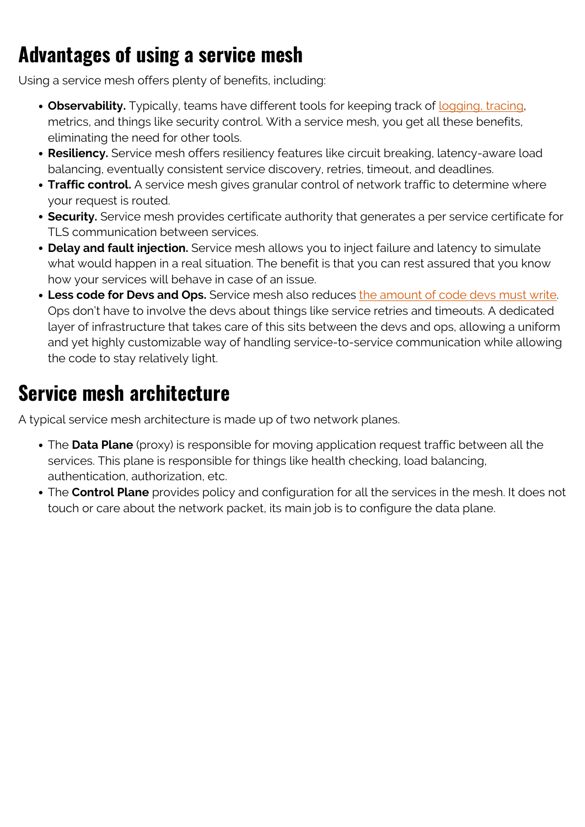# **Advantages of using a service mesh**

Using a service mesh offers plenty of benefits, including:

- **Observability.** Typically, teams have different tools for keeping track of [logging, tracing](https://blogs.bmc.com/blogs/monitoring-logging-tracing/), metrics, and things like security control. With a service mesh, you get all these benefits, eliminating the need for other tools.
- **Resiliency.** Service mesh offers resiliency features like circuit breaking, latency-aware load balancing, eventually consistent service discovery, retries, timeout, and deadlines.
- **Traffic control.** A service mesh gives granular control of network traffic to determine where your request is routed.
- **Security.** Service mesh provides certificate authority that generates a per service certificate for TLS communication between services.
- **Delay and fault injection.** Service mesh allows you to inject failure and latency to simulate what would happen in a real situation. The benefit is that you can rest assured that you know how your services will behave in case of an issue.
- **Less code for Devs and Ops.** Service mesh also reduces [the amount of code devs must write.](https://blogs.bmc.com/blogs/devops-microservices/) Ops don't have to involve the devs about things like service retries and timeouts. A dedicated layer of infrastructure that takes care of this sits between the devs and ops, allowing a uniform and yet highly customizable way of handling service-to-service communication while allowing the code to stay relatively light.

# **Service mesh architecture**

A typical service mesh architecture is made up of two network planes.

- The **Data Plane** (proxy) is responsible for moving application request traffic between all the services. This plane is responsible for things like health checking, load balancing, authentication, authorization, etc.
- The **Control Plane** provides policy and configuration for all the services in the mesh. It does not touch or care about the network packet, its main job is to configure the data plane.